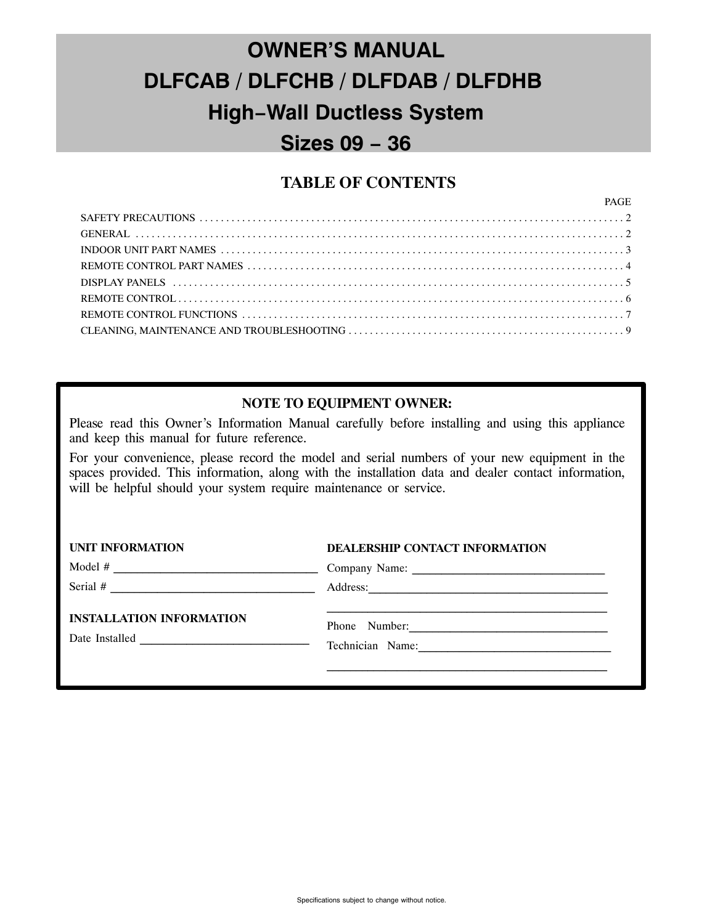# **OWNER'S MANUAL DLFCAB / DLFCHB / DLFDAB / DLFDHB High−Wall Ductless System Sizes 09 − 36**

### **TABLE OF CONTENTS**

PAGE

| <u>PAGE</u> |  |
|-------------|--|
|             |  |
|             |  |
|             |  |
|             |  |
|             |  |
|             |  |
|             |  |
|             |  |
|             |  |

#### **NOTE TO EQUIPMENT OWNER:**

Please read this Owner's Information Manual carefully before installing and using this appliance and keep this manual for future reference.

For your convenience, please record the model and serial numbers of your new equipment in the spaces provided. This information, along with the installation data and dealer contact information, will be helpful should your system require maintenance or service.

| <b>UNIT INFORMATION</b>                                                                                                            | DEALERSHIP CONTACT INFORMATION    |  |
|------------------------------------------------------------------------------------------------------------------------------------|-----------------------------------|--|
| Model #<br><u> 1980 - Andrea Barbara, poeta espainiar espainiar espainiar espainiar espainiar espainiar espainiar espainiar</u>    |                                   |  |
| Serial $#$<br><u> 1986 - Johann John Stein, markin f</u>                                                                           |                                   |  |
| <b>INSTALLATION INFORMATION</b><br>Date Installed<br><u>.</u><br>1980 - Johann John Harry, president francouzski filozof (d. 1905) | Phone Number:<br>Technician Name: |  |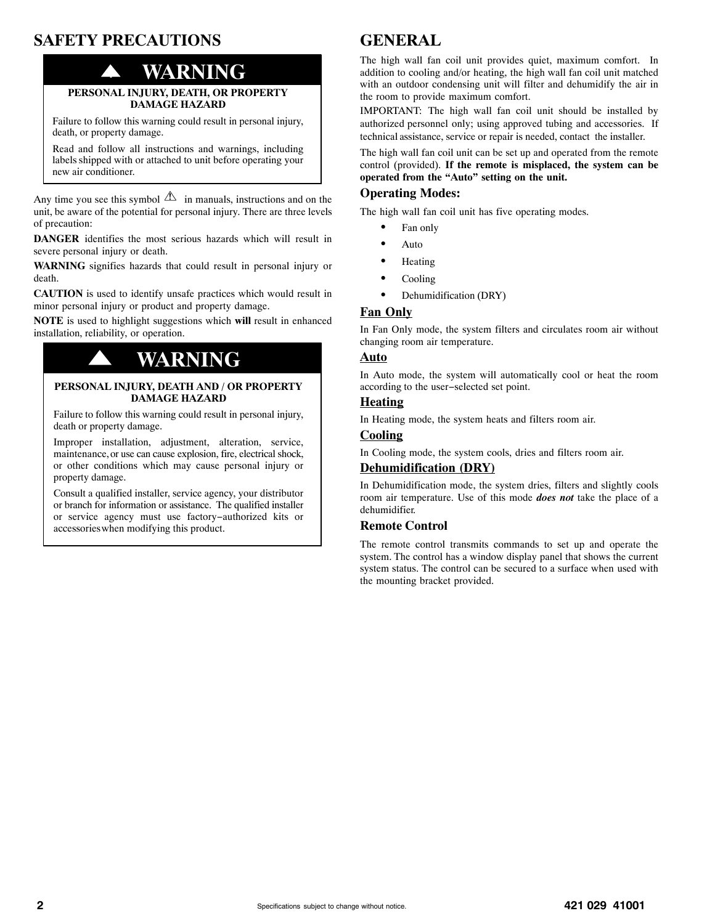# **SAFETY PRECAUTIONS**

# ! **WARNING**

#### **PERSONAL INJURY, DEATH, OR PROPERTY DAMAGE HAZARD**

Failure to follow this warning could result in personal injury, death, or property damage.

Read and follow all instructions and warnings, including labels shipped with or attached to unit before operating your new air conditioner.

Any time you see this symbol  $\Delta$  in manuals, instructions and on the unit, be aware of the potential for personal injury. There are three levels of precaution:

**DANGER** identifies the most serious hazards which will result in severe personal injury or death.

**WARNING** signifies hazards that could result in personal injury or death.

**CAUTION** is used to identify unsafe practices which would result in minor personal injury or product and property damage.

**NOTE** is used to highlight suggestions which **will** result in enhanced installation, reliability, or operation.

# ! **WARNING**

#### **PERSONAL INJURY, DEATH AND / OR PROPERTY DAMAGE HAZARD**

Failure to follow this warning could result in personal injury, death or property damage.

Improper installation, adjustment, alteration, service, maintenance, or use can cause explosion, fire, electrical shock, or other conditions which may cause personal injury or property damage.

Consult a qualified installer, service agency, your distributor or branch for information or assistance. The qualified installer or service agency must use factory−authorized kits or accessories when modifying this product.

# **GENERAL**

The high wall fan coil unit provides quiet, maximum comfort. In addition to cooling and/or heating, the high wall fan coil unit matched with an outdoor condensing unit will filter and dehumidify the air in the room to provide maximum comfort.

IMPORTANT: The high wall fan coil unit should be installed by authorized personnel only; using approved tubing and accessories. If technical assistance, service or repair is needed, contact the installer.

The high wall fan coil unit can be set up and operated from the remote control (provided). **If the remote is misplaced, the system can be operated from the "Auto" setting on the unit.**

#### **Operating Modes:**

The high wall fan coil unit has five operating modes.

- -Fan only
- -Auto
- $\bullet$ Heating
- -Cooling
- $\bullet$ Dehumidification (DRY)

#### **Fan Only**

In Fan Only mode, the system filters and circulates room air without changing room air temperature.

#### **Auto**

In Auto mode, the system will automatically cool or heat the room according to the user−selected set point.

#### **Heating**

In Heating mode, the system heats and filters room air.

#### **Cooling**

In Cooling mode, the system cools, dries and filters room air.

#### **Dehumidification (DRY)**

In Dehumidification mode, the system dries, filters and slightly cools room air temperature. Use of this mode *does not* take the place of a dehumidifier.

#### **Remote Control**

The remote control transmits commands to set up and operate the system. The control has a window display panel that shows the current system status. The control can be secured to a surface when used with the mounting bracket provided.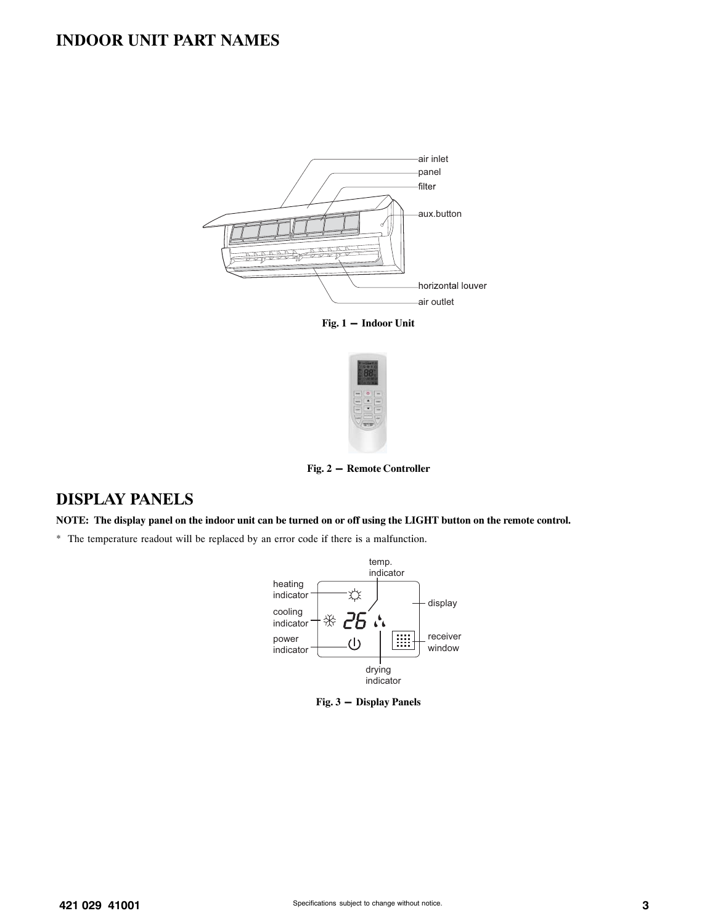### **INDOOR UNIT PART NAMES**



**Fig. 1 - Indoor Unit**



**Fig. 2 - Remote Controller**

### **DISPLAY PANELS**

**NOTE: The display panel on the indoor unit can be turned on or off using the LIGHT button on the remote control.**

\* The temperature readout will be replaced by an error code if there is a malfunction.



**Fig. 3 - Display Panels**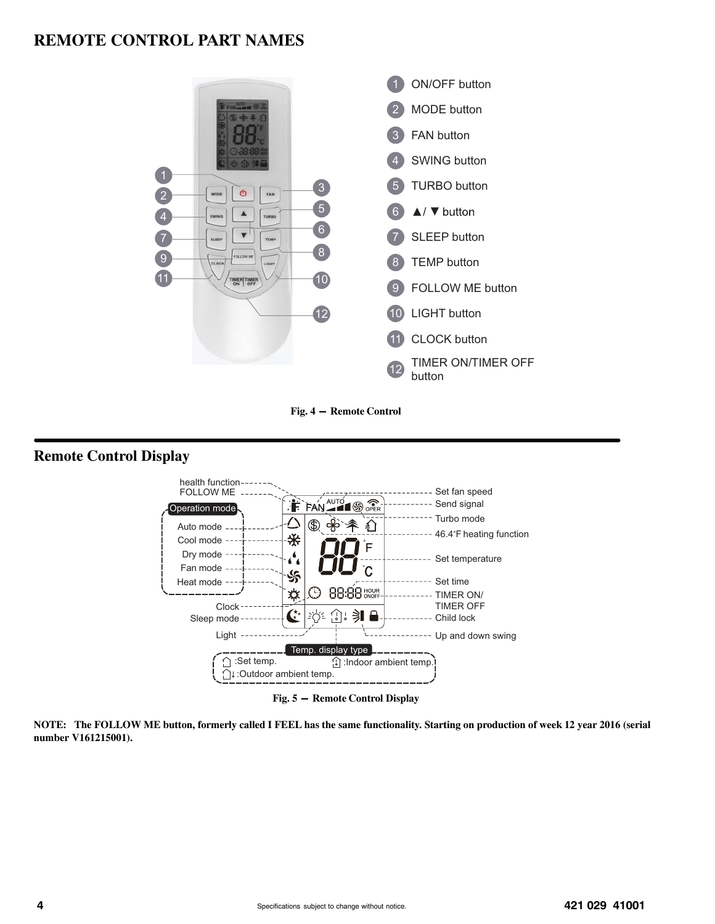### **REMOTE CONTROL PART NAMES**



**Fig. 4 - Remote Control**

### **Remote Control Display**



**Fig. 5 - Remote Control Display**

**NOTE: The FOLLOW ME button, formerly called I FEEL has the same functionality. Starting on production of week 12 year 2016 (serial number V161215001).**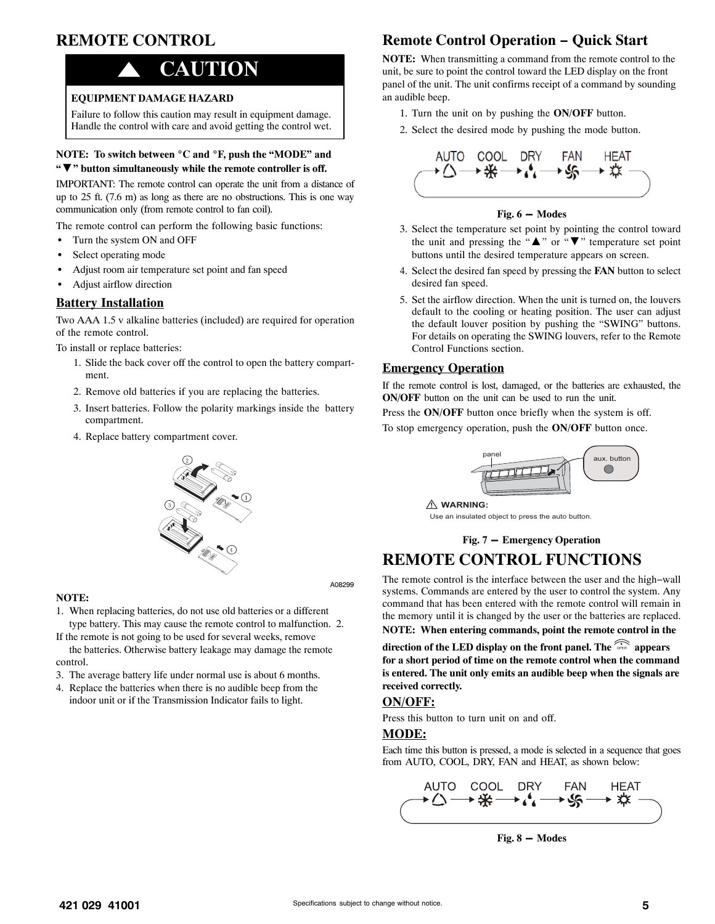# **REMOTE CONTROL**

# ! **CAUTION**

#### **EQUIPMENT DAMAGE HAZARD**

Failure to follow this caution may result in equipment damage. Handle the control with care and avoid getting the control wet.

# **NOTE: To switch between** -**C and** -**F, push the "MODE" and "**▼**" button simultaneously while the remote controller is off.**

IMPORTANT: The remote control can operate the unit from a distance of up to 25 ft. (7.6 m) as long as there are no obstructions. This is one way communication only (from remote control to fan coil).

The remote control can perform the following basic functions:

- -Turn the system ON and OFF
- -Select operating mode
- -Adjust room air temperature set point and fan speed
- -Adjust airflow direction

#### **Battery Installation**

Two AAA 1.5 v alkaline batteries (included) are required for operation of the remote control.

To install or replace batteries:

- 1. Slide the back cover off the control to open the battery compartment.
- 2. Remove old batteries if you are replacing the batteries.
- 3. Insert batteries. Follow the polarity markings inside the battery compartment.
- 4. Replace battery compartment cover.

#### **NOTE:**

- 1. When replacing batteries, do not use old batteries or a different type battery. This may cause the remote control to malfunction. 2.
- If the remote is not going to be used for several weeks, remove the batteries. Otherwise battery leakage may damage the remote
- control. 3. The average battery life under normal use is about 6 months.
- 
- 4. Replace the batteries when there is no audible beep from the indoor unit or if the Transmission Indicator fails to light.

## **Remote Control Operation − Quick Start**

**NOTE:** When transmitting a command from the remote control to the unit, be sure to point the control toward the LED display on the front panel of the unit. The unit confirms receipt of a command by sounding an audible beep.

- 1. Turn the unit on by pushing the **ON/OFF** button.
- 2. Select the desired mode by pushing the mode button.



#### **Fig. 6 - Modes**

- 3. Select the temperature set point by pointing the control toward the unit and pressing the " $\blacktriangle$ " or " $\nabla$ " temperature set point buttons until the desired temperature appears on screen.
- 4. Select the desired fan speed by pressing the **FAN** button to select desired fan speed.
- 5. Set the airflow direction. When the unit is turned on, the louvers default to the cooling or heating position. The user can adjust the default louver position by pushing the "SWING" buttons. For details on operating the SWING louvers, refer to the Remote Control Functions section.

#### **Emergency Operation**

If the remote control is lost, damaged, or the batteries are exhausted, the **ON/OFF** button on the unit can be used to run the unit.

Press the **ON/OFF** button once briefly when the system is off.

To stop emergency operation, push the **ON/OFF** button once.



**WARNING:**

Use an insulated object to press the auto button.

**Fig. 7 - Emergency Operation**

### **REMOTE CONTROL FUNCTIONS**

The remote control is the interface between the user and the high−wall systems. Commands are entered by the user to control the system. Any command that has been entered with the remote control will remain in the memory until it is changed by the user or the batteries are replaced. **NOTE: When entering commands, point the remote control in the**

**direction of the LED display on the front panel. The <b>PREP** appears **for a short period of time on the remote control when the command is entered. The unit only emits an audible beep when the signals are received correctly.**

#### **ON/OFF:**

Press this button to turn unit on and off.

#### **MODE:**

Each time this button is pressed, a mode is selected in a sequence that goes from AUTO, COOL, DRY, FAN and HEAT, as shown below:

AUTO COOL DRY FAN HEAT<br>▶△──<del>》※</del>──▶◆◆──→\$<mark>〜</mark>

**Fig. 8 - Modes**

A08299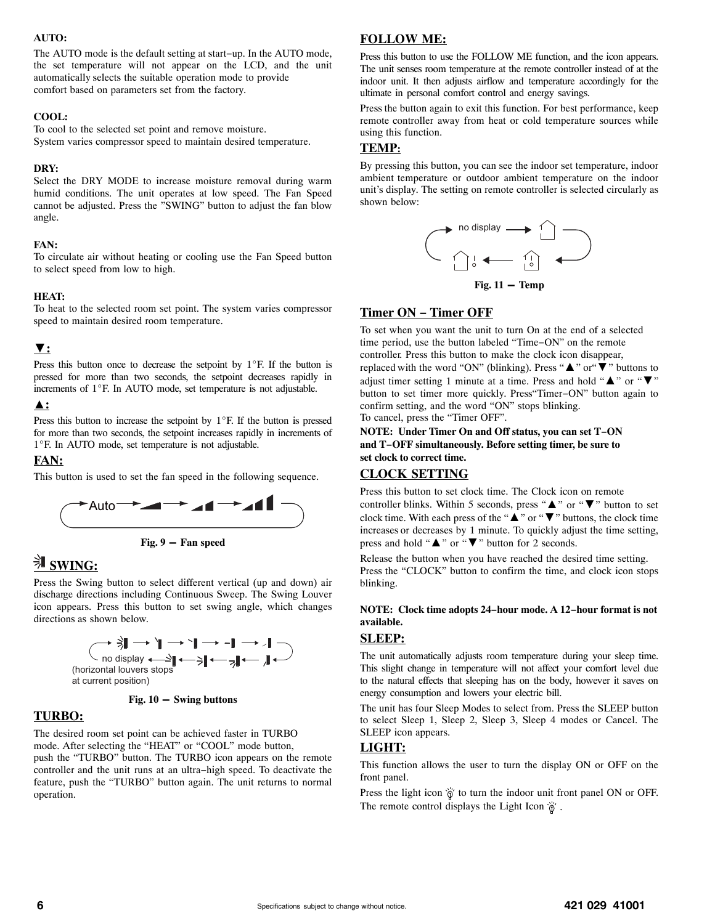#### **AUTO:**

The AUTO mode is the default setting at start−up. In the AUTO mode, the set temperature will not appear on the LCD, and the unit automatically selects the suitable operation mode to provide comfort based on parameters set from the factory.

#### **COOL:**

To cool to the selected set point and remove moisture. System varies compressor speed to maintain desired temperature.

#### **DRY:**

Select the DRY MODE to increase moisture removal during warm humid conditions. The unit operates at low speed. The Fan Speed cannot be adjusted. Press the "SWING" button to adjust the fan blow angle.

#### **FAN:**

To circulate air without heating or cooling use the Fan Speed button to select speed from low to high.

#### **HEAT:**

To heat to the selected room set point. The system varies compressor speed to maintain desired room temperature.

#### ▼**:**

Press this button once to decrease the setpoint by  $1^{\circ}$ F. If the button is pressed for more than two seconds, the setpoint decreases rapidly in increments of  $1^{\circ}$ F. In AUTO mode, set temperature is not adjustable.

#### ▲**:**

Press this button to increase the setpoint by  $1^{\circ}$ F. If the button is pressed for more than two seconds, the setpoint increases rapidly in increments of 1°F. In AUTO mode, set temperature is not adjustable.

#### **FAN:**

This button is used to set the fan speed in the following sequence.





# **SWING:**

Press the Swing button to select different vertical (up and down) air discharge directions including Continuous Sweep. The Swing Louver icon appears. Press this button to set swing angle, which changes directions as shown below.





#### **TURBO:**

The desired room set point can be achieved faster in TURBO mode. After selecting the "HEAT" or "COOL" mode button, push the "TURBO" button. The TURBO icon appears on the remote controller and the unit runs at an ultra−high speed. To deactivate the feature, push the "TURBO" button again. The unit returns to normal operation.

### **FOLLOW ME:**

Press this button to use the FOLLOW ME function, and the icon appears. The unit senses room temperature at the remote controller instead of at the indoor unit. It then adjusts airflow and temperature accordingly for the ultimate in personal comfort control and energy savings.

Press the button again to exit this function. For best performance, keep remote controller away from heat or cold temperature sources while using this function.

#### **TEMP:**

By pressing this button, you can see the indoor set temperature, indoor ambient temperature or outdoor ambient temperature on the indoor unit's display. The setting on remote controller is selected circularly as shown below:



#### **Timer ON − Timer OFF**

To set when you want the unit to turn On at the end of a selected time period, use the button labeled "Time−ON" on the remote controller. Press this button to make the clock icon disappear, replaced with the word "ON" (blinking). Press "▲" or"▼" buttons to adjust timer setting 1 minute at a time. Press and hold " $\blacktriangle$ " or " $\nabla$ " button to set timer more quickly. Press"Timer−ON" button again to confirm setting, and the word "ON" stops blinking. To cancel, press the "Timer OFF".

#### **NOTE: Under Timer On and Off status, you can set T−ON and T−OFF simultaneously. Before setting timer, be sure to set clock to correct time.**

#### **CLOCK SETTING**

Press this button to set clock time. The Clock icon on remote controller blinks. Within 5 seconds, press " $\blacktriangle$ " or " $\nabla$ " button to set clock time. With each press of the "▲" or "▼" buttons, the clock time increases or decreases by 1 minute. To quickly adjust the time setting, press and hold "▲" or "▼" button for 2 seconds.

Release the button when you have reached the desired time setting. Press the "CLOCK" button to confirm the time, and clock icon stops blinking.

#### **NOTE: Clock time adopts 24−hour mode. A 12−hour format is not available.**

#### **SLEEP:**

The unit automatically adjusts room temperature during your sleep time. This slight change in temperature will not affect your comfort level due to the natural effects that sleeping has on the body, however it saves on energy consumption and lowers your electric bill.

The unit has four Sleep Modes to select from. Press the SLEEP button to select Sleep 1, Sleep 2, Sleep 3, Sleep 4 modes or Cancel. The SLEEP icon appears.

#### **LIGHT:**

This function allows the user to turn the display ON or OFF on the front panel.

Press the light icon  $\ddot{\theta}$  to turn the indoor unit front panel ON or OFF. The remote control displays the Light Icon  $\dddot{\theta}$ .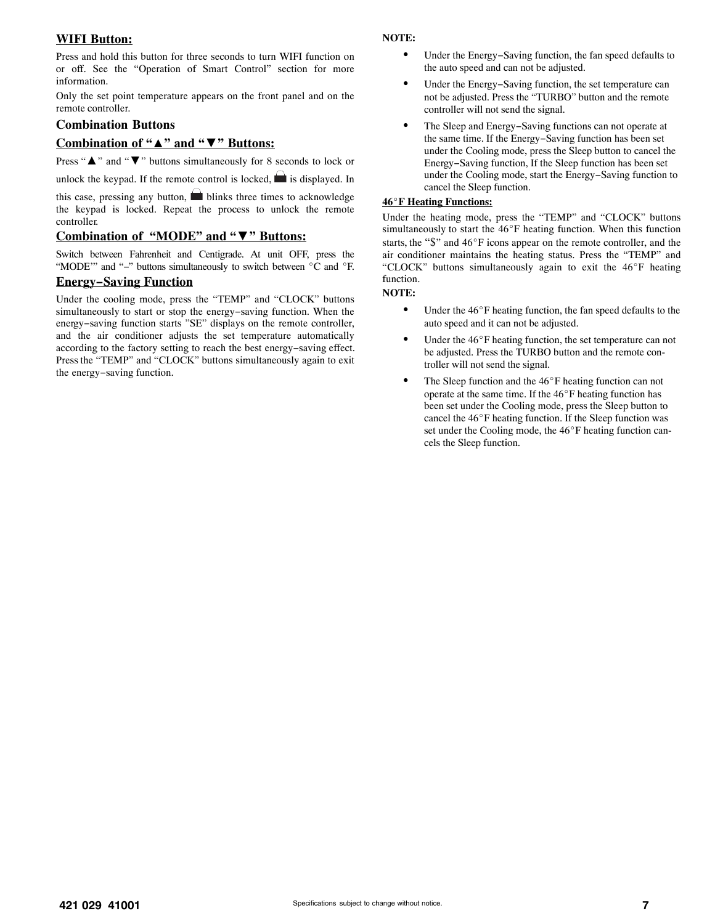#### **WIFI Button:**

Press and hold this button for three seconds to turn WIFI function on or off. See the "Operation of Smart Control" section for more information.

Only the set point temperature appears on the front panel and on the remote controller.

#### **Combination Buttons**

#### **Combination of "**▲**" and "**▼**" Buttons:**

Press "**A**" and "▼" buttons simultaneously for 8 seconds to lock or

unlock the keypad. If the remote control is locked,  $\blacksquare$  is displayed. In

this case, pressing any button,  $\blacksquare$  blinks three times to acknowledge the keypad is locked. Repeat the process to unlock the remote controller.

#### **Combination of "MODE" and "**▼**" Buttons:**

Switch between Fahrenheit and Centigrade. At unit OFF, press the "MODE"" and "-" buttons simultaneously to switch between °C and °F.

#### **Energy−Saving Function**

Under the cooling mode, press the "TEMP" and "CLOCK" buttons simultaneously to start or stop the energy−saving function. When the energy−saving function starts "SE" displays on the remote controller, and the air conditioner adjusts the set temperature automatically according to the factory setting to reach the best energy−saving effect. Press the "TEMP" and "CLOCK" buttons simultaneously again to exit the energy−saving function.

#### **NOTE:**

- - Under the Energy−Saving function, the fan speed defaults to the auto speed and can not be adjusted.
- - Under the Energy−Saving function, the set temperature can not be adjusted. Press the "TURBO" button and the remote controller will not send the signal.
- $\bullet$  The Sleep and Energy−Saving functions can not operate at the same time. If the Energy−Saving function has been set under the Cooling mode, press the Sleep button to cancel the Energy−Saving function, If the Sleep function has been set under the Cooling mode, start the Energy−Saving function to cancel the Sleep function.

#### **46F Heating Functions:**

Under the heating mode, press the "TEMP" and "CLOCK" buttons simultaneously to start the  $46^{\circ}$ F heating function. When this function starts, the "\$" and 46°F icons appear on the remote controller, and the air conditioner maintains the heating status. Press the "TEMP" and "CLOCK" buttons simultaneously again to exit the 46°F heating function.

#### **NOTE:**

- $\bullet$ Under the  $46^{\circ}$ F heating function, the fan speed defaults to the auto speed and it can not be adjusted.
- -Under the 46°F heating function, the set temperature can not be adjusted. Press the TURBO button and the remote controller will not send the signal.
- -The Sleep function and the  $46^{\circ}$ F heating function can not operate at the same time. If the  $46^{\circ}$ F heating function has been set under the Cooling mode, press the Sleep button to cancel the  $46^{\circ}$ F heating function. If the Sleep function was set under the Cooling mode, the 46°F heating function cancels the Sleep function.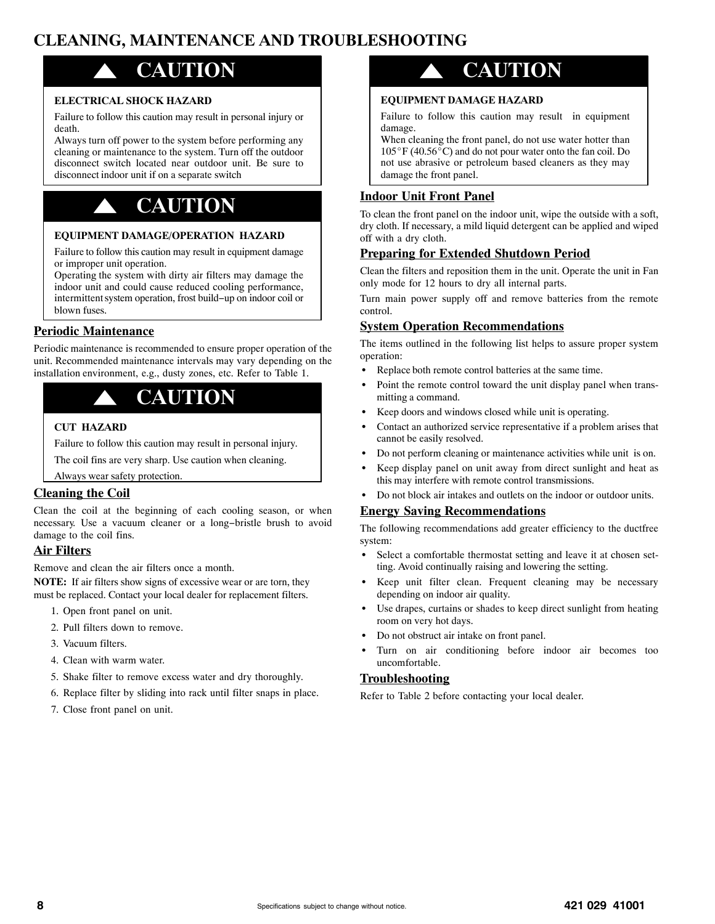# **CLEANING, MAINTENANCE AND TROUBLESHOOTING**

# ! **CAUTION**

#### **ELECTRICAL SHOCK HAZARD**

Failure to follow this caution may result in personal injury or death.

Always turn off power to the system before performing any cleaning or maintenance to the system. Turn off the outdoor disconnect switch located near outdoor unit. Be sure to disconnect indoor unit if on a separate switch

# ! **CAUTION**

#### **EQUIPMENT DAMAGE/OPERATION HAZARD**

Failure to follow this caution may result in equipment damage or improper unit operation.

Operating the system with dirty air filters may damage the indoor unit and could cause reduced cooling performance, intermittent system operation, frost build−up on indoor coil or blown fuses.

#### **Periodic Maintenance**

Periodic maintenance is recommended to ensure proper operation of the unit. Recommended maintenance intervals may vary depending on the installation environment, e.g., dusty zones, etc. Refer to Table 1.

# ! **CAUTION**

#### **CUT HAZARD**

Failure to follow this caution may result in personal injury.

The coil fins are very sharp. Use caution when cleaning.

#### Always wear safety protection.

#### **Cleaning the Coil**

Clean the coil at the beginning of each cooling season, or when necessary. Use a vacuum cleaner or a long−bristle brush to avoid damage to the coil fins.

#### **Air Filters**

Remove and clean the air filters once a month.

**NOTE:** If air filters show signs of excessive wear or are torn, they must be replaced. Contact your local dealer for replacement filters.

- 1. Open front panel on unit.
- 2. Pull filters down to remove.
- 3. Vacuum filters.
- 4. Clean with warm water.
- 5. Shake filter to remove excess water and dry thoroughly.
- 6. Replace filter by sliding into rack until filter snaps in place.
- 7. Close front panel on unit.

# ! **CAUTION**

#### **EQUIPMENT DAMAGE HAZARD**

Failure to follow this caution may result in equipment damage.

When cleaning the front panel, do not use water hotter than  $105^{\circ}$ F (40.56 $^{\circ}$ C) and do not pour water onto the fan coil. Do not use abrasive or petroleum based cleaners as they may damage the front panel.

#### **Indoor Unit Front Panel**

To clean the front panel on the indoor unit, wipe the outside with a soft, dry cloth. If necessary, a mild liquid detergent can be applied and wiped off with a dry cloth.

#### **Preparing for Extended Shutdown Period**

Clean the filters and reposition them in the unit. Operate the unit in Fan only mode for 12 hours to dry all internal parts.

Turn main power supply off and remove batteries from the remote control.

#### **System Operation Recommendations**

The items outlined in the following list helps to assure proper system operation:

- -Replace both remote control batteries at the same time.
- - Point the remote control toward the unit display panel when transmitting a command.
- -Keep doors and windows closed while unit is operating.
- - Contact an authorized service representative if a problem arises that cannot be easily resolved.
- -Do not perform cleaning or maintenance activities while unit is on.
- - Keep display panel on unit away from direct sunlight and heat as this may interfere with remote control transmissions.
- -Do not block air intakes and outlets on the indoor or outdoor units.

#### **Energy Saving Recommendations**

The following recommendations add greater efficiency to the ductfree system:

- - Select a comfortable thermostat setting and leave it at chosen setting. Avoid continually raising and lowering the setting.
- - Keep unit filter clean. Frequent cleaning may be necessary depending on indoor air quality.
- - Use drapes, curtains or shades to keep direct sunlight from heating room on very hot days.
- -Do not obstruct air intake on front panel.
- - Turn on air conditioning before indoor air becomes too uncomfortable.

#### **Troubleshooting**

Refer to Table 2 before contacting your local dealer.